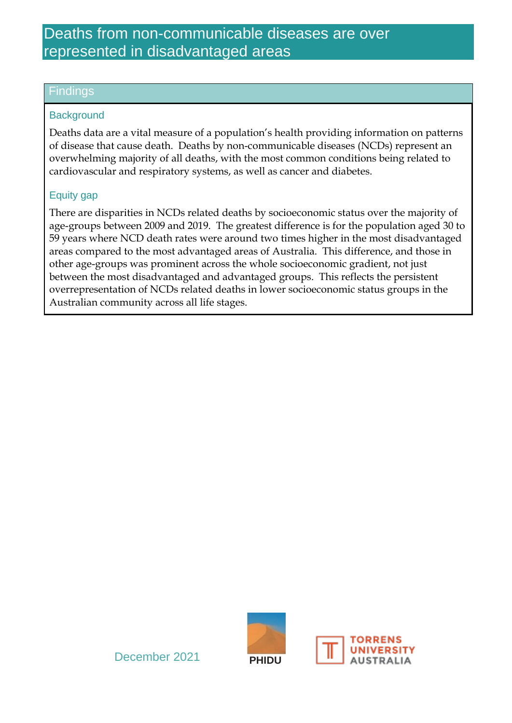# Deaths from non-communicable diseases are over represented in disadvantaged areas

### Findings

#### **Background**

Deaths data are a vital measure of a population's health providing information on patterns of disease that cause death. Deaths by non-communicable diseases (NCDs) represent an overwhelming majority of all deaths, with the most common conditions being related to cardiovascular and respiratory systems, as well as cancer and diabetes.

#### Equity gap

There are disparities in NCDs related deaths by socioeconomic status over the majority of age-groups between 2009 and 2019. The greatest difference is for the population aged 30 to 59 years where NCD death rates were around two times higher in the most disadvantaged areas compared to the most advantaged areas of Australia. This difference, and those in other age-groups was prominent across the whole socioeconomic gradient, not just between the most disadvantaged and advantaged groups. This reflects the persistent overrepresentation of NCDs related deaths in lower socioeconomic status groups in the Australian community across all life stages.



December 2021 **PHIDU**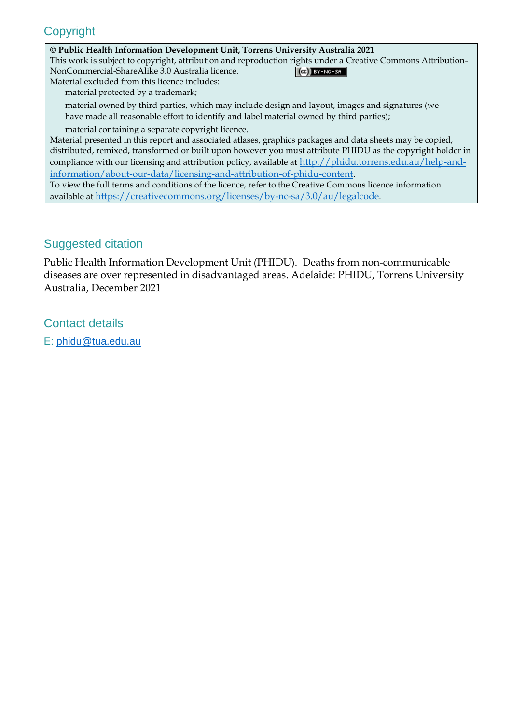## **Copyright**

#### **© Public Health Information Development Unit, Torrens University Australia 2021**

This work is subject to copyright, attribution and reproduction rights under a Creative Commons Attribution-NonCommercial-ShareAlike 3.0 Australia licence.  $(Cc)$  BY-NC-SA

Material excluded from this licence includes: material protected by a trademark;

 material owned by third parties, which may include design and layout, images and signatures (we have made all reasonable effort to identify and label material owned by third parties);

material containing a separate copyright licence.

Material presented in this report and associated atlases, graphics packages and data sheets may be copied, distributed, remixed, transformed or built upon however you must attribute PHIDU as the copyright holder in compliance with our licensing and attribution policy, available at [http://phidu.torrens.edu.au/help-and](http://phidu.torrens.edu.au/help-and-information/about-our-data/licensing-and-attribution-of-phidu-content)[information/about-our-data/licensing-and-attribution-of-phidu-content](http://phidu.torrens.edu.au/help-and-information/about-our-data/licensing-and-attribution-of-phidu-content).

To view the full terms and conditions of the licence, refer to the Creative Commons licence information available at <https://creativecommons.org/licenses/by-nc-sa/3.0/au/legalcode>.

## Suggested citation

Public Health Information Development Unit (PHIDU). Deaths from non-communicable diseases are over represented in disadvantaged areas. Adelaide: PHIDU, Torrens University Australia, December 2021

Contact details

E: [phidu@tua.edu.au](mailto:phidu@tua.edu.au)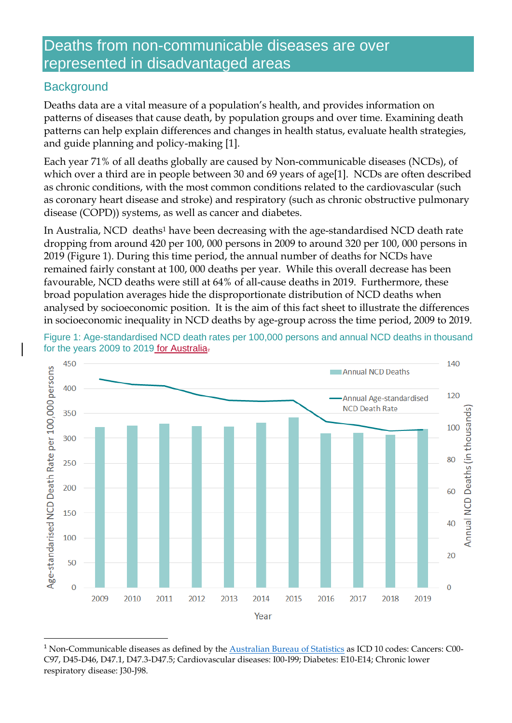# Deaths from non-communicable diseases are over represented in disadvantaged areas

## **Background**

**.** 

Deaths data are a vital measure of a population's health, and provides information on patterns of diseases that cause death, by population groups and over time. Examining death patterns can help explain differences and changes in health status, evaluate health strategies, and guide planning and policy-making [1].

Each year 71% of all deaths globally are caused by Non-communicable diseases (NCDs), of which over a third are in people between 30 and 69 years of age[1]. NCDs are often described as chronic conditions, with the most common conditions related to the cardiovascular (such as coronary heart disease and stroke) and respiratory (such as chronic obstructive pulmonary disease (COPD)) systems, as well as cancer and diabetes.

In Australia, NCD deaths<sup>1</sup> have been decreasing with the age-standardised NCD death rate dropping from around 420 per 100, 000 persons in 2009 to around 320 per 100, 000 persons in 2019 (Figure 1). During this time period, the annual number of deaths for NCDs have remained fairly constant at 100, 000 deaths per year. While this overall decrease has been favourable, NCD deaths were still at 64% of all-cause deaths in 2019. Furthermore, these broad population averages hide the disproportionate distribution of NCD deaths when analysed by socioeconomic position. It is the aim of this fact sheet to illustrate the differences in socioeconomic inequality in NCD deaths by age-group across the time period, 2009 to 2019.



Figure 1: Age-standardised NCD death rates per 100,000 persons and annual NCD deaths in thousand for the years 2009 to 2019 for Australia.

<sup>&</sup>lt;sup>1</sup> Non-Communicable diseases as defined by the **Australian Bureau of Statistics** as ICD 10 codes: Cancers: C00-C97, D45-D46, D47.1, D47.3-D47.5; Cardiovascular diseases: I00-I99; Diabetes: E10-E14; Chronic lower respiratory disease: J30-J98.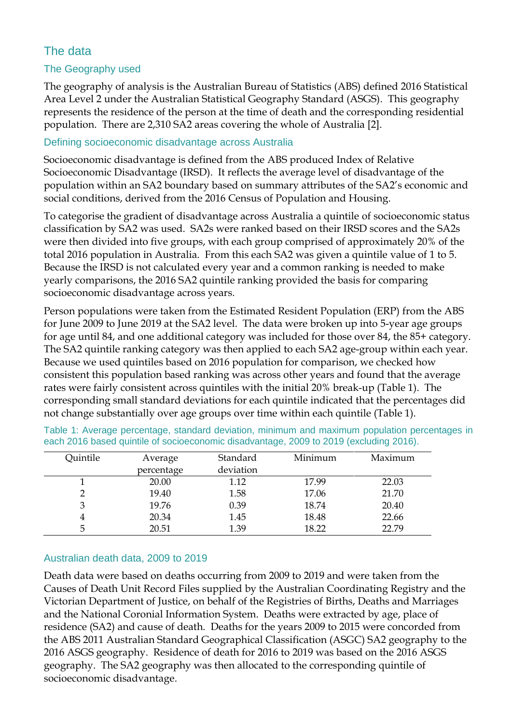## The data

### The Geography used

The geography of analysis is the Australian Bureau of Statistics (ABS) defined 2016 Statistical Area Level 2 under the Australian Statistical Geography Standard (ASGS). This geography represents the residence of the person at the time of death and the corresponding residential population. There are 2,310 SA2 areas covering the whole of Australia [2].

#### Defining socioeconomic disadvantage across Australia

Socioeconomic disadvantage is defined from the ABS produced Index of Relative Socioeconomic Disadvantage (IRSD). It reflects the average level of disadvantage of the population within an SA2 boundary based on summary attributes of the SA2's economic and social conditions, derived from the 2016 Census of Population and Housing.

To categorise the gradient of disadvantage across Australia a quintile of socioeconomic status classification by SA2 was used. SA2s were ranked based on their IRSD scores and the SA2s were then divided into five groups, with each group comprised of approximately 20% of the total 2016 population in Australia. From this each SA2 was given a quintile value of 1 to 5. Because the IRSD is not calculated every year and a common ranking is needed to make yearly comparisons, the 2016 SA2 quintile ranking provided the basis for comparing socioeconomic disadvantage across years.

Person populations were taken from the Estimated Resident Population (ERP) from the ABS for June 2009 to June 2019 at the SA2 level. The data were broken up into 5-year age groups for age until 84, and one additional category was included for those over 84, the 85+ category. The SA2 quintile ranking category was then applied to each SA2 age-group within each year. Because we used quintiles based on 2016 population for comparison, we checked how consistent this population based ranking was across other years and found that the average rates were fairly consistent across quintiles with the initial 20% break-up (Table 1). The corresponding small standard deviations for each quintile indicated that the percentages did not change substantially over age groups over time within each quintile (Table 1).

| Quintile | Average    | Standard  | Minimum | Maximum |
|----------|------------|-----------|---------|---------|
|          | percentage | deviation |         |         |
|          | 20.00      | 1.12      | 17.99   | 22.03   |
|          | 19.40      | 1.58      | 17.06   | 21.70   |
| 3        | 19.76      | 0.39      | 18.74   | 20.40   |
| 4        | 20.34      | 1.45      | 18.48   | 22.66   |
| 5        | 20.51      | 1.39      | 18.22   | 22.79   |

Table 1: Average percentage, standard deviation, minimum and maximum population percentages in each 2016 based quintile of socioeconomic disadvantage, 2009 to 2019 (excluding 2016).

#### Australian death data, 2009 to 2019

Death data were based on deaths occurring from 2009 to 2019 and were taken from the Causes of Death Unit Record Files supplied by the Australian Coordinating Registry and the Victorian Department of Justice, on behalf of the Registries of Births, Deaths and Marriages and the National Coronial Information System. Deaths were extracted by age, place of residence (SA2) and cause of death. Deaths for the years 2009 to 2015 were concorded from the ABS 2011 Australian Standard Geographical Classification (ASGC) SA2 geography to the 2016 ASGS geography. Residence of death for 2016 to 2019 was based on the 2016 ASGS geography. The SA2 geography was then allocated to the corresponding quintile of socioeconomic disadvantage.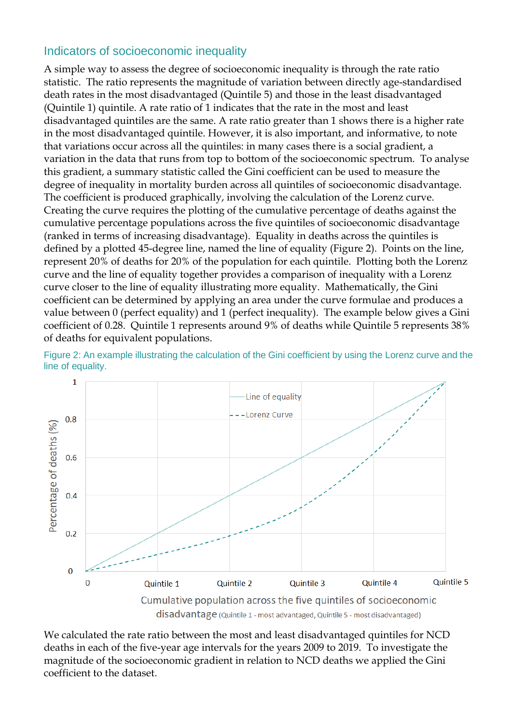## Indicators of socioeconomic inequality

A simple way to assess the degree of socioeconomic inequality is through the rate ratio statistic. The ratio represents the magnitude of variation between directly age-standardised death rates in the most disadvantaged (Quintile 5) and those in the least disadvantaged (Quintile 1) quintile. A rate ratio of 1 indicates that the rate in the most and least disadvantaged quintiles are the same. A rate ratio greater than 1 shows there is a higher rate in the most disadvantaged quintile. However, it is also important, and informative, to note that variations occur across all the quintiles: in many cases there is a social gradient, a variation in the data that runs from top to bottom of the socioeconomic spectrum. To analyse this gradient, a summary statistic called the Gini coefficient can be used to measure the degree of inequality in mortality burden across all quintiles of socioeconomic disadvantage. The coefficient is produced graphically, involving the calculation of the Lorenz curve. Creating the curve requires the plotting of the cumulative percentage of deaths against the cumulative percentage populations across the five quintiles of socioeconomic disadvantage (ranked in terms of increasing disadvantage). Equality in deaths across the quintiles is defined by a plotted 45-degree line, named the line of equality (Figure 2). Points on the line, represent 20% of deaths for 20% of the population for each quintile. Plotting both the Lorenz curve and the line of equality together provides a comparison of inequality with a Lorenz curve closer to the line of equality illustrating more equality. Mathematically, the Gini coefficient can be determined by applying an area under the curve formulae and produces a value between 0 (perfect equality) and 1 (perfect inequality). The example below gives a Gini coefficient of 0.28. Quintile 1 represents around 9% of deaths while Quintile 5 represents 38% of deaths for equivalent populations.



Figure 2: An example illustrating the calculation of the Gini coefficient by using the Lorenz curve and the line of equality.

disadvantage (Quintile 1 - most advantaged, Quintile 5 - most disadvantaged)

We calculated the rate ratio between the most and least disadvantaged quintiles for NCD deaths in each of the five-year age intervals for the years 2009 to 2019. To investigate the magnitude of the socioeconomic gradient in relation to NCD deaths we applied the Gini coefficient to the dataset.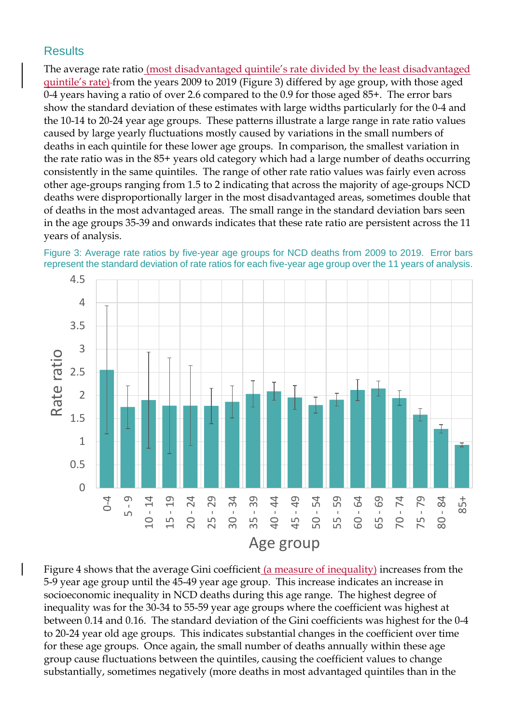## **Results**

The average rate ratio (most disadvantaged quintile's rate divided by the least disadvantaged quintile's rate) from the years 2009 to 2019 (Figure 3) differed by age group, with those aged 0-4 years having a ratio of over 2.6 compared to the 0.9 for those aged 85+. The error bars show the standard deviation of these estimates with large widths particularly for the 0-4 and the 10-14 to 20-24 year age groups. These patterns illustrate a large range in rate ratio values caused by large yearly fluctuations mostly caused by variations in the small numbers of deaths in each quintile for these lower age groups. In comparison, the smallest variation in the rate ratio was in the 85+ years old category which had a large number of deaths occurring consistently in the same quintiles. The range of other rate ratio values was fairly even across other age-groups ranging from 1.5 to 2 indicating that across the majority of age-groups NCD deaths were disproportionally larger in the most disadvantaged areas, sometimes double that of deaths in the most advantaged areas. The small range in the standard deviation bars seen in the age groups 35-39 and onwards indicates that these rate ratio are persistent across the 11 years of analysis.





Figure 4 shows that the average Gini coefficient (a measure of inequality) increases from the 5-9 year age group until the 45-49 year age group. This increase indicates an increase in socioeconomic inequality in NCD deaths during this age range. The highest degree of inequality was for the 30-34 to 55-59 year age groups where the coefficient was highest at between 0.14 and 0.16. The standard deviation of the Gini coefficients was highest for the 0-4 to 20-24 year old age groups. This indicates substantial changes in the coefficient over time for these age groups. Once again, the small number of deaths annually within these age group cause fluctuations between the quintiles, causing the coefficient values to change substantially, sometimes negatively (more deaths in most advantaged quintiles than in the